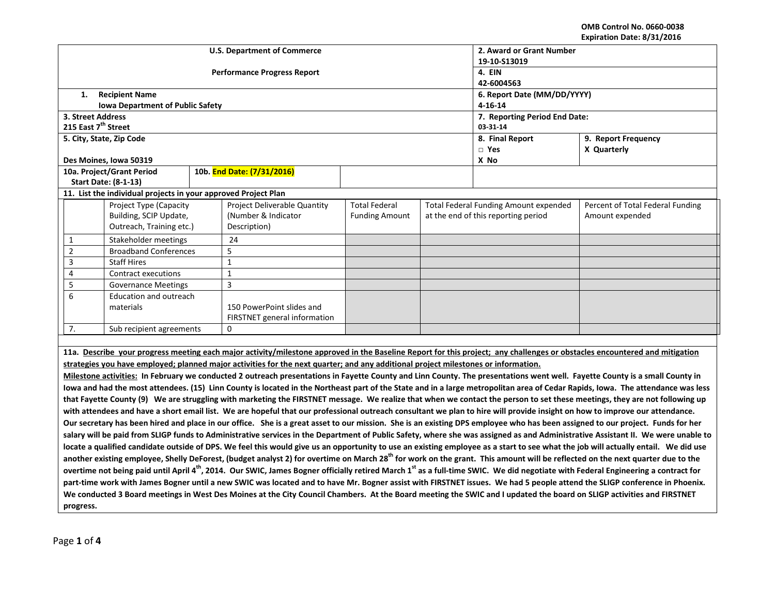**OMB Control No. 0660-0038 Expiration Date: 8/31/2016**

| LADII AGUL DALE. 67317 ZUIU<br>2. Award or Grant Number<br><b>U.S. Department of Commerce</b>                                                                                                             |                                         |  |                                                                                                                                    |                       |                                              |                                     |                                                                                                                                                                             |  |  |  |
|-----------------------------------------------------------------------------------------------------------------------------------------------------------------------------------------------------------|-----------------------------------------|--|------------------------------------------------------------------------------------------------------------------------------------|-----------------------|----------------------------------------------|-------------------------------------|-----------------------------------------------------------------------------------------------------------------------------------------------------------------------------|--|--|--|
|                                                                                                                                                                                                           |                                         |  |                                                                                                                                    | 19-10-S13019          |                                              |                                     |                                                                                                                                                                             |  |  |  |
|                                                                                                                                                                                                           |                                         |  | <b>Performance Progress Report</b>                                                                                                 | 4. EIN                |                                              |                                     |                                                                                                                                                                             |  |  |  |
|                                                                                                                                                                                                           |                                         |  |                                                                                                                                    |                       | 42-6004563                                   |                                     |                                                                                                                                                                             |  |  |  |
| 1.                                                                                                                                                                                                        | <b>Recipient Name</b>                   |  |                                                                                                                                    |                       | 6. Report Date (MM/DD/YYYY)                  |                                     |                                                                                                                                                                             |  |  |  |
|                                                                                                                                                                                                           | <b>Iowa Department of Public Safety</b> |  |                                                                                                                                    |                       |                                              | $4 - 16 - 14$                       |                                                                                                                                                                             |  |  |  |
|                                                                                                                                                                                                           | 3. Street Address                       |  |                                                                                                                                    |                       | 7. Reporting Period End Date:                |                                     |                                                                                                                                                                             |  |  |  |
|                                                                                                                                                                                                           | 215 East 7 <sup>th</sup> Street         |  |                                                                                                                                    |                       | 03-31-14                                     |                                     |                                                                                                                                                                             |  |  |  |
|                                                                                                                                                                                                           | 5. City, State, Zip Code                |  |                                                                                                                                    |                       | 8. Final Report                              | 9. Report Frequency                 |                                                                                                                                                                             |  |  |  |
|                                                                                                                                                                                                           |                                         |  |                                                                                                                                    |                       |                                              | $\Box$ Yes                          | X Quarterly                                                                                                                                                                 |  |  |  |
|                                                                                                                                                                                                           | Des Moines, Iowa 50319                  |  |                                                                                                                                    |                       |                                              | X No                                |                                                                                                                                                                             |  |  |  |
|                                                                                                                                                                                                           | 10a. Project/Grant Period               |  | 10b. End Date: (7/31/2016)                                                                                                         |                       |                                              |                                     |                                                                                                                                                                             |  |  |  |
|                                                                                                                                                                                                           | <b>Start Date: (8-1-13)</b>             |  |                                                                                                                                    |                       |                                              |                                     |                                                                                                                                                                             |  |  |  |
| 11. List the individual projects in your approved Project Plan                                                                                                                                            |                                         |  |                                                                                                                                    |                       |                                              |                                     |                                                                                                                                                                             |  |  |  |
|                                                                                                                                                                                                           | Project Type (Capacity                  |  | <b>Project Deliverable Quantity</b>                                                                                                | <b>Total Federal</b>  | <b>Total Federal Funding Amount expended</b> |                                     | Percent of Total Federal Funding                                                                                                                                            |  |  |  |
|                                                                                                                                                                                                           | Building, SCIP Update,                  |  | (Number & Indicator                                                                                                                | <b>Funding Amount</b> |                                              | at the end of this reporting period | Amount expended                                                                                                                                                             |  |  |  |
|                                                                                                                                                                                                           | Outreach, Training etc.)                |  | Description)                                                                                                                       |                       |                                              |                                     |                                                                                                                                                                             |  |  |  |
| $\mathbf{1}$                                                                                                                                                                                              | Stakeholder meetings                    |  | 24                                                                                                                                 |                       |                                              |                                     |                                                                                                                                                                             |  |  |  |
| $\overline{2}$                                                                                                                                                                                            | <b>Broadband Conferences</b>            |  | 5                                                                                                                                  |                       |                                              |                                     |                                                                                                                                                                             |  |  |  |
| 3                                                                                                                                                                                                         | <b>Staff Hires</b>                      |  | $\mathbf{1}$                                                                                                                       |                       |                                              |                                     |                                                                                                                                                                             |  |  |  |
| 4                                                                                                                                                                                                         | Contract executions                     |  | $\mathbf 1$                                                                                                                        |                       |                                              |                                     |                                                                                                                                                                             |  |  |  |
| 5                                                                                                                                                                                                         | <b>Governance Meetings</b>              |  | 3                                                                                                                                  |                       |                                              |                                     |                                                                                                                                                                             |  |  |  |
| 6                                                                                                                                                                                                         | Education and outreach                  |  |                                                                                                                                    |                       |                                              |                                     |                                                                                                                                                                             |  |  |  |
|                                                                                                                                                                                                           | materials                               |  | 150 PowerPoint slides and                                                                                                          |                       |                                              |                                     |                                                                                                                                                                             |  |  |  |
|                                                                                                                                                                                                           |                                         |  | FIRSTNET general information                                                                                                       |                       |                                              |                                     |                                                                                                                                                                             |  |  |  |
| 7.                                                                                                                                                                                                        | Sub recipient agreements                |  | $\mathbf 0$                                                                                                                        |                       |                                              |                                     |                                                                                                                                                                             |  |  |  |
|                                                                                                                                                                                                           |                                         |  |                                                                                                                                    |                       |                                              |                                     |                                                                                                                                                                             |  |  |  |
|                                                                                                                                                                                                           |                                         |  |                                                                                                                                    |                       |                                              |                                     | 11a. Describe your progress meeting each major activity/milestone approved in the Baseline Report for this project; any challenges or obstacles encountered and mitigation  |  |  |  |
|                                                                                                                                                                                                           |                                         |  | strategies you have employed; planned major activities for the next quarter; and any additional project milestones or information. |                       |                                              |                                     |                                                                                                                                                                             |  |  |  |
|                                                                                                                                                                                                           |                                         |  |                                                                                                                                    |                       |                                              |                                     | Milestone activities: In February we conducted 2 outreach presentations in Fayette County and Linn County. The presentations went well. Fayette County is a small County in |  |  |  |
| lowa and had the most attendees. (15) Linn County is located in the Northeast part of the State and in a large metropolitan area of Cedar Rapids, Iowa. The attendance was less                           |                                         |  |                                                                                                                                    |                       |                                              |                                     |                                                                                                                                                                             |  |  |  |
| that Fayette County (9) We are struggling with marketing the FIRSTNET message. We realize that when we contact the person to set these meetings, they are not following up                                |                                         |  |                                                                                                                                    |                       |                                              |                                     |                                                                                                                                                                             |  |  |  |
| with attendees and have a short email list. We are hopeful that our professional outreach consultant we plan to hire will provide insight on how to improve our attendance.                               |                                         |  |                                                                                                                                    |                       |                                              |                                     |                                                                                                                                                                             |  |  |  |
| Our secretary has been hired and place in our office. She is a great asset to our mission. She is an existing DPS employee who has been assigned to our project. Funds for her                            |                                         |  |                                                                                                                                    |                       |                                              |                                     |                                                                                                                                                                             |  |  |  |
| salary will be paid from SLIGP funds to Administrative services in the Department of Public Safety, where she was assigned as and Administrative Assistant II. We were unable to                          |                                         |  |                                                                                                                                    |                       |                                              |                                     |                                                                                                                                                                             |  |  |  |
| locate a qualified candidate outside of DPS. We feel this would give us an opportunity to use an existing employee as a start to see what the job will actually entail. We did use                        |                                         |  |                                                                                                                                    |                       |                                              |                                     |                                                                                                                                                                             |  |  |  |
| another existing employee, Shelly DeForest, (budget analyst 2) for overtime on March 28 <sup>th</sup> for work on the grant. This amount will be reflected on the next quarter due to the                 |                                         |  |                                                                                                                                    |                       |                                              |                                     |                                                                                                                                                                             |  |  |  |
| overtime not being paid until April 4 <sup>th</sup> , 2014. Our SWIC, James Bogner officially retired March 1 <sup>st</sup> as a full-time SWIC. We did negotiate with Federal Engineering a contract for |                                         |  |                                                                                                                                    |                       |                                              |                                     |                                                                                                                                                                             |  |  |  |
| part-time work with James Bogner until a new SWIC was located and to have Mr. Bogner assist with FIRSTNET issues. We had 5 people attend the SLIGP conference in Phoenix.                                 |                                         |  |                                                                                                                                    |                       |                                              |                                     |                                                                                                                                                                             |  |  |  |
| We conducted 3 Board meetings in West Des Moines at the City Council Chambers. At the Board meeting the SWIC and I updated the board on SLIGP activities and FIRSTNET                                     |                                         |  |                                                                                                                                    |                       |                                              |                                     |                                                                                                                                                                             |  |  |  |
|                                                                                                                                                                                                           |                                         |  |                                                                                                                                    |                       |                                              |                                     |                                                                                                                                                                             |  |  |  |
|                                                                                                                                                                                                           | progress.                               |  |                                                                                                                                    |                       |                                              |                                     |                                                                                                                                                                             |  |  |  |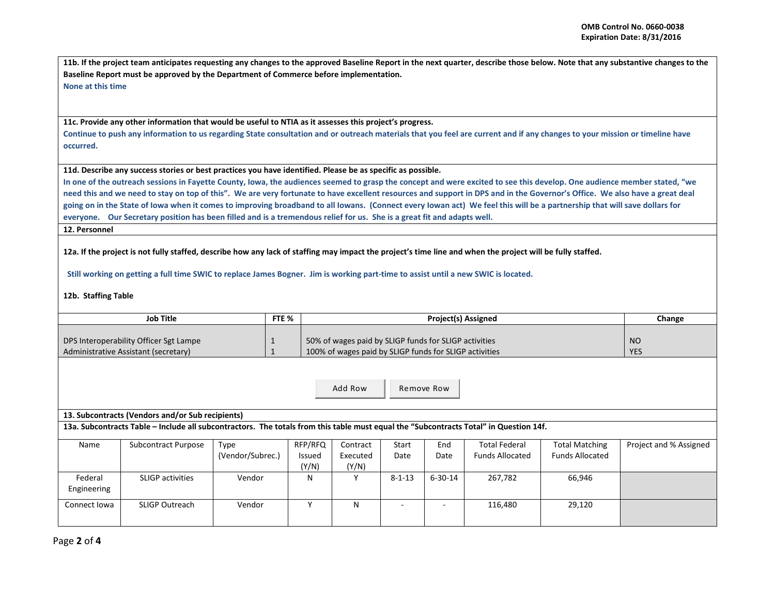**11b. If the project team anticipates requesting any changes to the approved Baseline Report in the next quarter, describe those below. Note that any substantive changes to the Baseline Report must be approved by the Department of Commerce before implementation. None at this time**

**11c. Provide any other information that would be useful to NTIA as it assesses this project's progress.** 

**Continue to push any information to us regarding State consultation and or outreach materials that you feel are current and if any changes to your mission or timeline have occurred.** 

**11d. Describe any success stories or best practices you have identified. Please be as specific as possible.**

**In one of the outreach sessions in Fayette County, Iowa, the audiences seemed to grasp the concept and were excited to see this develop. One audience member stated, "we need this and we need to stay on top of this". We are very fortunate to have excellent resources and support in DPS and in the Governor's Office. We also have a great deal going on in the State of Iowa when it comes to improving broadband to all Iowans. (Connect every Iowan act) We feel this will be a partnership that will save dollars for everyone. Our Secretary position has been filled and is a tremendous relief for us. She is a great fit and adapts well.** 

**12. Personnel** 

**12a. If the project is not fully staffed, describe how any lack of staffing may impact the project's time line and when the project will be fully staffed.**

 **Still working on getting a full time SWIC to replace James Bogner. Jim is working part-time to assist until a new SWIC is located.** 

**12b. Staffing Table**

| Job Title                                                                                                                             |                            |                          | FTE %                      |                                                                                                                 | Change                       |               |                                                |                                                 |                        |  |
|---------------------------------------------------------------------------------------------------------------------------------------|----------------------------|--------------------------|----------------------------|-----------------------------------------------------------------------------------------------------------------|------------------------------|---------------|------------------------------------------------|-------------------------------------------------|------------------------|--|
| DPS Interoperability Officer Sgt Lampe<br>Administrative Assistant (secretary)                                                        |                            |                          |                            | 50% of wages paid by SLIGP funds for SLIGP activities<br>100% of wages paid by SLIGP funds for SLIGP activities | N <sub>O</sub><br><b>YES</b> |               |                                                |                                                 |                        |  |
| Add Row<br>Remove Row                                                                                                                 |                            |                          |                            |                                                                                                                 |                              |               |                                                |                                                 |                        |  |
| 13. Subcontracts (Vendors and/or Sub recipients)                                                                                      |                            |                          |                            |                                                                                                                 |                              |               |                                                |                                                 |                        |  |
| 13a. Subcontracts Table - Include all subcontractors. The totals from this table must equal the "Subcontracts Total" in Question 14f. |                            |                          |                            |                                                                                                                 |                              |               |                                                |                                                 |                        |  |
| Name                                                                                                                                  | <b>Subcontract Purpose</b> | Type<br>(Vendor/Subrec.) | RFP/RFQ<br>Issued<br>(Y/N) | Contract<br>Executed<br>(Y/N)                                                                                   | Start<br>Date                | End<br>Date   | <b>Total Federal</b><br><b>Funds Allocated</b> | <b>Total Matching</b><br><b>Funds Allocated</b> | Project and % Assigned |  |
| Federal<br>Engineering                                                                                                                | <b>SLIGP</b> activities    | Vendor                   | N                          | Υ                                                                                                               | $8 - 1 - 13$                 | $6 - 30 - 14$ | 267,782                                        | 66,946                                          |                        |  |
| Connect Iowa                                                                                                                          | <b>SLIGP Outreach</b>      | Vendor                   | Y                          | N                                                                                                               | $\overline{\phantom{a}}$     |               | 116,480                                        | 29,120                                          |                        |  |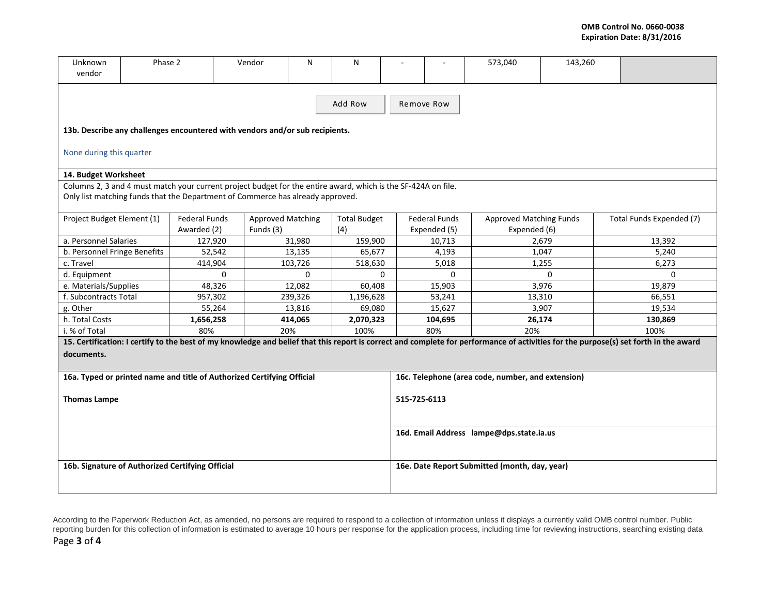| Unknown<br>vendor                                                              | Phase 2 |                      | Vendor                                                                                                        | N        | N                   |              |                                                   | 573,040                        | 143,260  |                                                                                                                                                                                      |  |  |
|--------------------------------------------------------------------------------|---------|----------------------|---------------------------------------------------------------------------------------------------------------|----------|---------------------|--------------|---------------------------------------------------|--------------------------------|----------|--------------------------------------------------------------------------------------------------------------------------------------------------------------------------------------|--|--|
| Add Row<br>Remove Row                                                          |         |                      |                                                                                                               |          |                     |              |                                                   |                                |          |                                                                                                                                                                                      |  |  |
| 13b. Describe any challenges encountered with vendors and/or sub recipients.   |         |                      |                                                                                                               |          |                     |              |                                                   |                                |          |                                                                                                                                                                                      |  |  |
| None during this quarter                                                       |         |                      |                                                                                                               |          |                     |              |                                                   |                                |          |                                                                                                                                                                                      |  |  |
| 14. Budget Worksheet                                                           |         |                      |                                                                                                               |          |                     |              |                                                   |                                |          |                                                                                                                                                                                      |  |  |
|                                                                                |         |                      | Columns 2, 3 and 4 must match your current project budget for the entire award, which is the SF-424A on file. |          |                     |              |                                                   |                                |          |                                                                                                                                                                                      |  |  |
| Only list matching funds that the Department of Commerce has already approved. |         |                      |                                                                                                               |          |                     |              |                                                   |                                |          |                                                                                                                                                                                      |  |  |
|                                                                                |         |                      |                                                                                                               |          |                     |              |                                                   |                                |          |                                                                                                                                                                                      |  |  |
| Project Budget Element (1)                                                     |         | <b>Federal Funds</b> | <b>Approved Matching</b>                                                                                      |          | <b>Total Budget</b> |              | <b>Federal Funds</b>                              | <b>Approved Matching Funds</b> |          | Total Funds Expended (7)                                                                                                                                                             |  |  |
|                                                                                |         | Awarded (2)          | Funds (3)                                                                                                     |          | (4)                 |              | Expended (5)                                      | Expended (6)                   |          |                                                                                                                                                                                      |  |  |
| a. Personnel Salaries                                                          |         | 127,920              |                                                                                                               | 31,980   | 159,900             |              | 10,713                                            |                                | 2,679    | 13,392                                                                                                                                                                               |  |  |
| b. Personnel Fringe Benefits                                                   |         | 52,542               |                                                                                                               | 13,135   | 65,677              |              | 4,193                                             |                                | 1,047    | 5,240                                                                                                                                                                                |  |  |
| c. Travel                                                                      |         | 414,904              |                                                                                                               | 103,726  | 518,630             |              | 5,018                                             |                                | 1,255    | 6,273                                                                                                                                                                                |  |  |
| d. Equipment                                                                   |         |                      | $\Omega$                                                                                                      | $\Omega$ | $\Omega$            |              | $\Omega$                                          |                                | $\Omega$ | $\Omega$                                                                                                                                                                             |  |  |
| e. Materials/Supplies                                                          |         | 48,326               |                                                                                                               | 12,082   | 60,408              |              | 15,903                                            |                                | 3,976    | 19,879                                                                                                                                                                               |  |  |
| f. Subcontracts Total                                                          |         | 957,302              |                                                                                                               | 239,326  | 1,196,628           |              | 53,241                                            |                                | 13,310   | 66,551                                                                                                                                                                               |  |  |
| g. Other                                                                       |         | 55,264               |                                                                                                               | 13,816   | 69,080              |              | 15,627                                            |                                | 3,907    | 19,534                                                                                                                                                                               |  |  |
| h. Total Costs                                                                 |         | 1,656,258            |                                                                                                               | 414,065  | 2,070,323           |              | 104,695<br>26,174                                 |                                |          | 130,869                                                                                                                                                                              |  |  |
| i. % of Total                                                                  |         | 80%                  |                                                                                                               | 20%      | 100%                |              | 80%                                               | 20%                            |          | 100%                                                                                                                                                                                 |  |  |
|                                                                                |         |                      |                                                                                                               |          |                     |              |                                                   |                                |          | 15. Certification: I certify to the best of my knowledge and belief that this report is correct and complete for performance of activities for the purpose(s) set forth in the award |  |  |
| documents.                                                                     |         |                      |                                                                                                               |          |                     |              |                                                   |                                |          |                                                                                                                                                                                      |  |  |
| 16a. Typed or printed name and title of Authorized Certifying Official         |         |                      |                                                                                                               |          |                     |              | 16c. Telephone (area code, number, and extension) |                                |          |                                                                                                                                                                                      |  |  |
| <b>Thomas Lampe</b>                                                            |         |                      |                                                                                                               |          |                     | 515-725-6113 |                                                   |                                |          |                                                                                                                                                                                      |  |  |
|                                                                                |         |                      |                                                                                                               |          |                     |              | 16d. Email Address lampe@dps.state.ia.us          |                                |          |                                                                                                                                                                                      |  |  |
| 16b. Signature of Authorized Certifying Official                               |         |                      |                                                                                                               |          |                     |              | 16e. Date Report Submitted (month, day, year)     |                                |          |                                                                                                                                                                                      |  |  |

According to the Paperwork Reduction Act, as amended, no persons are required to respond to a collection of information unless it displays a currently valid OMB control number. Public reporting burden for this collection of information is estimated to average 10 hours per response for the application process, including time for reviewing instructions, searching existing data